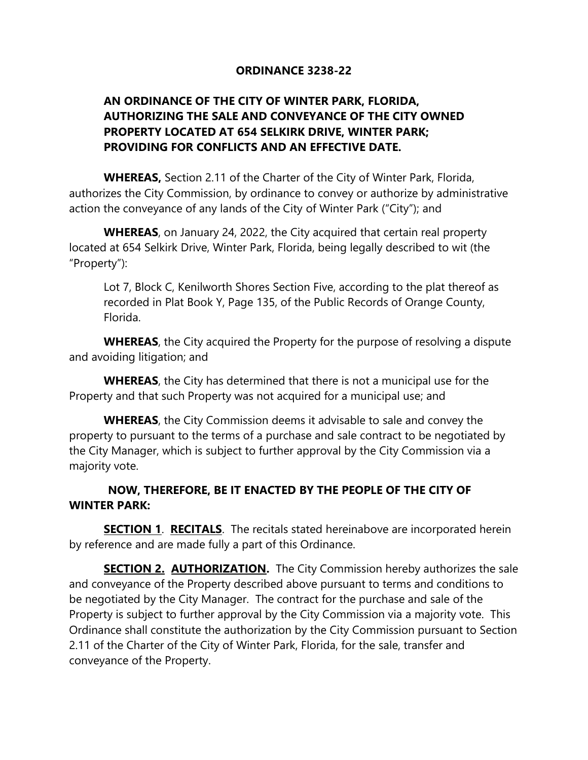## **ORDINANCE 3238-22**

## **AN ORDINANCE OF THE CITY OF WINTER PARK, FLORIDA, AUTHORIZING THE SALE AND CONVEYANCE OF THE CITY OWNED PROPERTY LOCATED AT 654 SELKIRK DRIVE, WINTER PARK; PROVIDING FOR CONFLICTS AND AN EFFECTIVE DATE.**

**WHEREAS,** Section 2.11 of the Charter of the City of Winter Park, Florida, authorizes the City Commission, by ordinance to convey or authorize by administrative action the conveyance of any lands of the City of Winter Park ("City"); and

**WHEREAS**, on January 24, 2022, the City acquired that certain real property located at 654 Selkirk Drive, Winter Park, Florida, being legally described to wit (the "Property"):

Lot 7, Block C, Kenilworth Shores Section Five, according to the plat thereof as recorded in Plat Book Y, Page 135, of the Public Records of Orange County, Florida.

**WHEREAS**, the City acquired the Property for the purpose of resolving a dispute and avoiding litigation; and

**WHEREAS**, the City has determined that there is not a municipal use for the Property and that such Property was not acquired for a municipal use; and

**WHEREAS**, the City Commission deems it advisable to sale and convey the property to pursuant to the terms of a purchase and sale contract to be negotiated by the City Manager, which is subject to further approval by the City Commission via a majority vote.

## **NOW, THEREFORE, BE IT ENACTED BY THE PEOPLE OF THE CITY OF WINTER PARK:**

**SECTION 1. RECITALS.** The recitals stated hereinabove are incorporated herein by reference and are made fully a part of this Ordinance.

**SECTION 2. AUTHORIZATION.** The City Commission hereby authorizes the sale and conveyance of the Property described above pursuant to terms and conditions to be negotiated by the City Manager. The contract for the purchase and sale of the Property is subject to further approval by the City Commission via a majority vote. This Ordinance shall constitute the authorization by the City Commission pursuant to Section 2.11 of the Charter of the City of Winter Park, Florida, for the sale, transfer and conveyance of the Property.